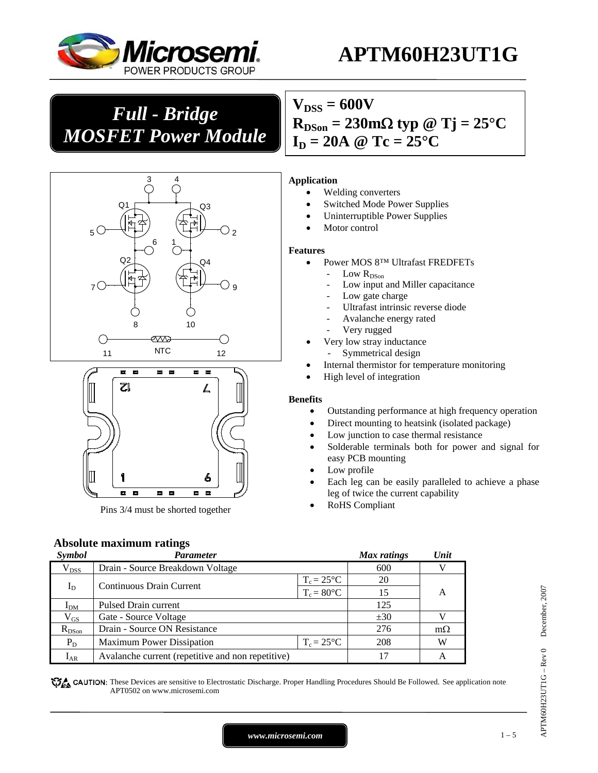

# **APTM60H23UT1G**

# *Full - Bridge MOSFET Power Module*





Pins 3/4 must be shorted together

# $V_{DSS} = 600V$  $R_{DSon} = 230 \text{m}\Omega \text{ typ } @ \text{Tj} = 25^{\circ} \text{C}$  $I_D = 20A \ @ \text{Te} = 25^{\circ}C$

#### **Application**

- Welding converters
- Switched Mode Power Supplies
- Uninterruptible Power Supplies
- Motor control

#### **Features**

- Power MOS 8™ Ultrafast FREDFETs
	- Low  $R_\mathrm{DSon}$
	- Low input and Miller capacitance
	- Low gate charge
	- Ultrafast intrinsic reverse diode
	- Avalanche energy rated
	- Very rugged
- Very low stray inductance Symmetrical design
- Internal thermistor for temperature monitoring
- High level of integration

#### **Benefits**

- Outstanding performance at high frequency operation
- Direct mounting to heatsink (isolated package)
- Low junction to case thermal resistance
- Solderable terminals both for power and signal for easy PCB mounting
- Low profile
- Each leg can be easily paralleled to achieve a phase leg of twice the current capability
- RoHS Compliant

### **Absolute maximum ratings**

| Symbol          | Parameter                                         |                     | <b>Max</b> ratings | Unit      |
|-----------------|---------------------------------------------------|---------------------|--------------------|-----------|
| $\rm V_{DSS}$   | Drain - Source Breakdown Voltage                  |                     | 600                |           |
|                 |                                                   | $T_c = 25^{\circ}C$ | 20                 |           |
| $I_D$           | <b>Continuous Drain Current</b>                   | $T_c = 80$ °C       | 15                 | A         |
| I <sub>DM</sub> | Pulsed Drain current                              |                     | 125                |           |
| $\rm V_{GS}$    | Gate - Source Voltage                             |                     | ±30                |           |
| $R_{DSon}$      | Drain - Source ON Resistance                      |                     | 276                | $m\Omega$ |
| $P_D$           | <b>Maximum Power Dissipation</b>                  | $T_c = 25^{\circ}C$ | 208                | W         |
| $I_{AR}$        | Avalanche current (repetitive and non repetitive) |                     | 17                 | А         |

CAUTION: These Devices are sensitive to Electrostatic Discharge. Proper Handling Procedures Should Be Followed. See application note APT0502 on www.microsemi.com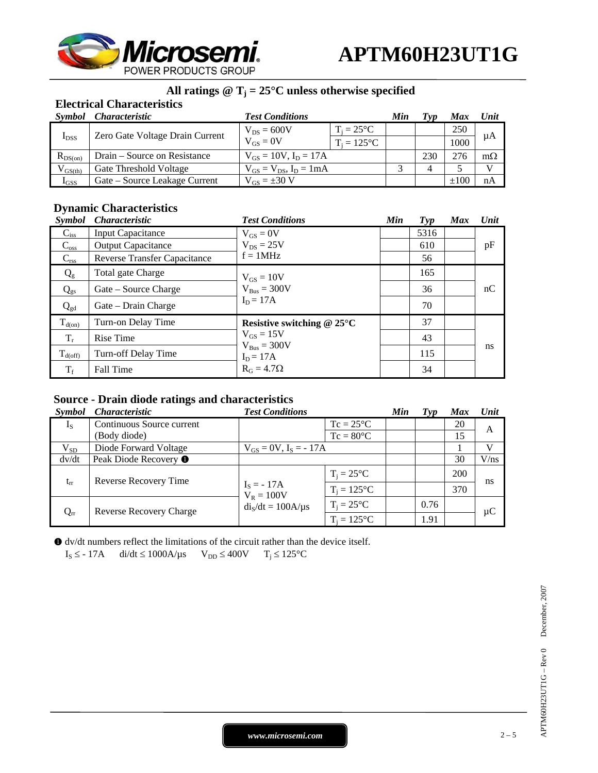

# All ratings  $@T_j = 25^\circ C$  unless otherwise specified

### **Electrical Characteristics**

| Symbol        | <i>Characteristic</i>           | <b>Test Conditions</b>           |                     | Min | Typ | Max       | Unit      |
|---------------|---------------------------------|----------------------------------|---------------------|-----|-----|-----------|-----------|
| $I_{DSS}$     | Zero Gate Voltage Drain Current | $V_{DS} = 600V$<br>$V_{GS} = 0V$ | $T_i = 25^{\circ}C$ |     |     | 250       |           |
|               |                                 |                                  | $T_i = 125$ °C      |     |     | 1000      | μA        |
| $R_{DS(on)}$  | Drain – Source on Resistance    | $V_{GS} = 10V$ , $I_D = 17A$     |                     |     | 230 |           | $m\Omega$ |
| $V_{GS(th)}$  | Gate Threshold Voltage          | $V_{GS} = V_{DS}$ , $I_D = 1mA$  |                     |     |     |           |           |
| $_{\rm IGSS}$ | Gate – Source Leakage Current   | $V_{GS} = \pm 30$ V              |                     |     |     | $\pm 100$ | nA        |

### **Dynamic Characteristics**

| <b>Symbol</b>      | <b>Characteristic</b>               | <b>Test Conditions</b>                            | Min | $\boldsymbol{Typ}$ | <b>Max</b> | Unit |
|--------------------|-------------------------------------|---------------------------------------------------|-----|--------------------|------------|------|
| $\mathrm{C_{iss}}$ | <b>Input Capacitance</b>            | $V_{GS} = 0V$                                     |     | 5316               |            |      |
| $C_{\rm oss}$      | <b>Output Capacitance</b>           | $V_{DS} = 25V$                                    |     | 610                |            | pF   |
| $C_{\text{rss}}$   | <b>Reverse Transfer Capacitance</b> | $f = 1MHz$                                        |     | 56                 |            |      |
| $Q_{g}$            | Total gate Charge                   | $V_{GS} = 10V$                                    |     | 165                |            |      |
| $Q_{gs}$           | Gate – Source Charge                | $V_{Bus} = 300V$                                  |     | 36                 |            | nC   |
| $Q_{gd}$           | Gate – Drain Charge                 | $I_D = 17A$                                       |     | 70                 |            |      |
| $T_{d(on)}$        | Turn-on Delay Time                  | Resistive switching $@$ 25 $°C$                   |     | 37                 |            |      |
| $T_r$              | <b>Rise Time</b>                    | $V_{GS} = 15V$<br>$V_{Bus} = 300V$<br>$I_D = 17A$ |     | 43                 |            |      |
| $T_{d(off)}$       | Turn-off Delay Time                 |                                                   |     | 115                |            | ns   |
| $T_f$              | Fall Time                           | $R_G = 4.7\Omega$                                 |     | 34                 |            |      |

# **Source - Drain diode ratings and characteristics**

| Symbol   | <i>Characteristic</i>            | <b>Test Conditions</b>       |                     | Min | $\boldsymbol{Typ}$ | <b>Max</b> | Unit    |
|----------|----------------------------------|------------------------------|---------------------|-----|--------------------|------------|---------|
| $I_{S}$  | Continuous Source current        |                              | $Tc = 25^{\circ}C$  |     |                    | 20         | A       |
|          | (Body diode)                     |                              | $Tc = 80^{\circ}C$  |     |                    | 15         |         |
| $V_{SD}$ | Diode Forward Voltage            | $V_{GS} = 0V$ , $I_S = -17A$ |                     |     |                    |            | v       |
| dv/dt    | Peak Diode Recovery <sup>O</sup> |                              |                     |     |                    | 30         | V/ns    |
| $t_{rr}$ | Reverse Recovery Time            |                              | $T_i = 25^{\circ}C$ |     |                    | 200        | ns      |
|          |                                  | $I_S = -17A$<br>$V_R = 100V$ | $T_i = 125$ °C      |     |                    | 370        |         |
| $Q_{rr}$ | <b>Reverse Recovery Charge</b>   | $dis/dt = 100A/\mu s$        | $T_i = 25^{\circ}C$ |     | 0.76               |            | $\mu C$ |
|          |                                  |                              | $T_i = 125$ °C      |     | 1.91               |            |         |

X dv/dt numbers reflect the limitations of the circuit rather than the device itself.  $I_S \leq -17A$  di/dt  $\leq 1000A/\mu s$   $V_{DD} \leq 400V$   $T_i \leq 125^{\circ}C$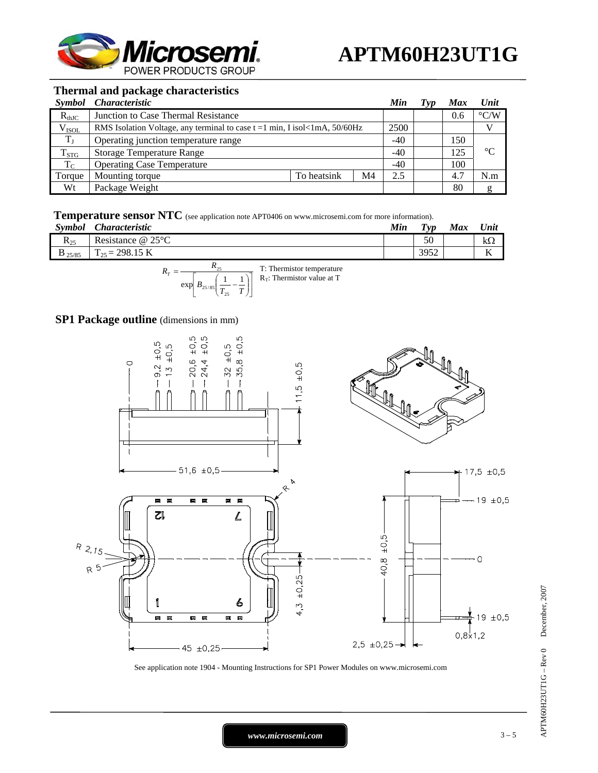

#### **Thermal and package characteristics**

| <i>Symbol</i> | <i>Characteristic</i>                                                                         |             |    | Min   | Typ | <b>Max</b> | Unit               |
|---------------|-----------------------------------------------------------------------------------------------|-------------|----|-------|-----|------------|--------------------|
| $R_{thJC}$    | Junction to Case Thermal Resistance                                                           |             |    |       |     | 0.6        | $\rm ^{\circ} C/W$ |
| $V_{ISOL}$    | RMS Isolation Voltage, any terminal to case $t = 1$ min, I isol <lma, <math="">50/60Hz</lma,> |             |    | 2500  |     |            |                    |
| $T_{\rm J}$   | Operating junction temperature range                                                          |             |    | $-40$ |     | 150        |                    |
| $T_{STG}$     | <b>Storage Temperature Range</b>                                                              |             |    | $-40$ |     | 125        | $\rm ^{\circ}C$    |
| $T_{\rm C}$   | <b>Operating Case Temperature</b>                                                             |             |    |       |     | 100        |                    |
| Torque        | Mounting torque                                                                               | To heatsink | M4 | 2.5   |     | 4.7        | N.m                |
| Wt            | Package Weight                                                                                |             |    |       |     | 80         |                    |

**Temperature sensor NTC** (see application note APT0406 on www.microsemi.com for more information).

| Symbol             | <i><b>Characteristic</b></i>                       | Min | $T_{VD}$ | <b>Max</b> | Unit              |
|--------------------|----------------------------------------------------|-----|----------|------------|-------------------|
| $R_{25}$           | Resistance $@25°C$                                 |     | 50       |            | KS 2              |
| $\mathbf{D}$ 25/85 | $:298.15~\mathrm{K}$<br>$\mathbf{r}$<br>$=$<br>125 |     | 3952     |            | $\mathbf{r}$<br>V |
|                    |                                                    |     |          |            |                   |



# **SP1 Package outline** (dimensions in mm)



See application note 1904 - Mounting Instructions for SP1 Power Modules on www.microsemi.com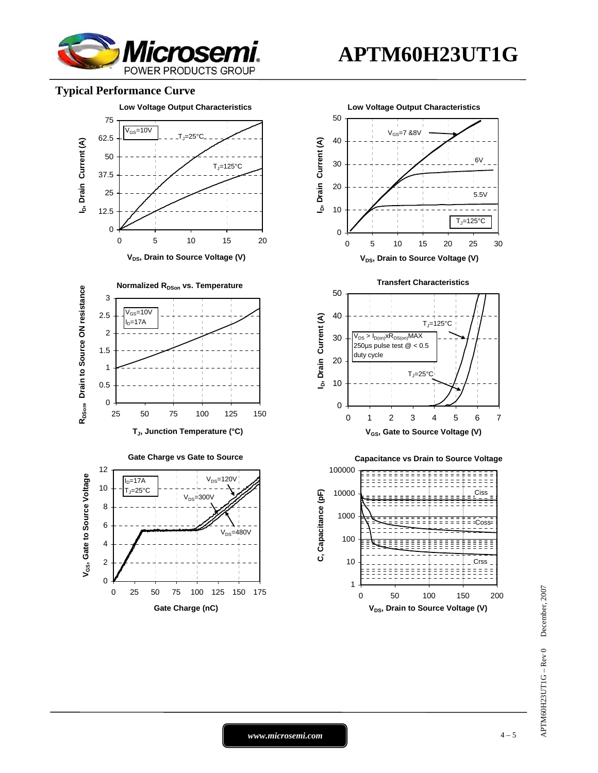

#### **Typical Performance Curve**



**APTM60H23UT1G**

APTM60H23UT1G – Rev 0 December, 2007  $APTM60H23UT1G - Rev 0$  December, 2007